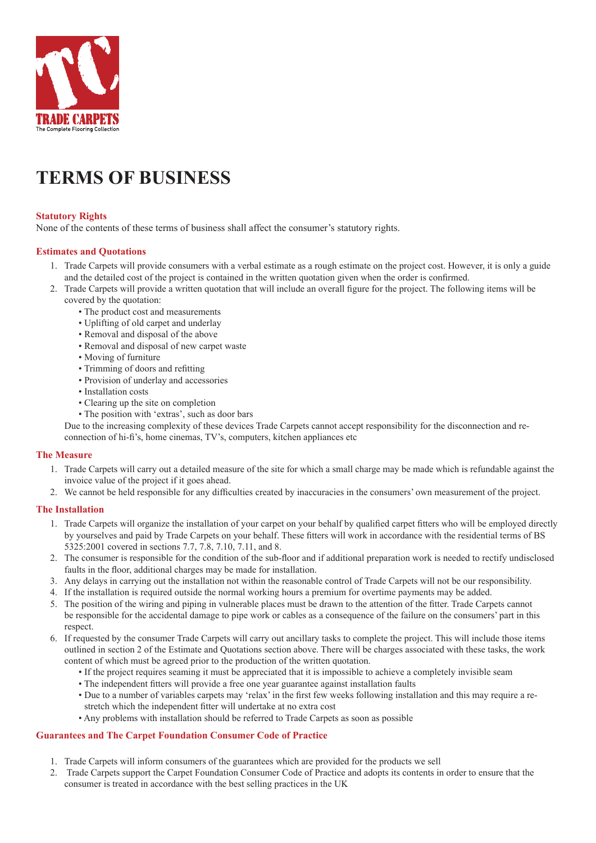

# **Terms of Business**

# **Statutory Rights**

None of the contents of these terms of business shall affect the consumer's statutory rights.

## **Estimates and Quotations**

- 1. Trade Carpets will provide consumers with a verbal estimate as a rough estimate on the project cost. However, it is only a guide and the detailed cost of the project is contained in the written quotation given when the order is confirmed.
- 2. Trade Carpets will provide a written quotation that will include an overall figure for the project. The following items will be
	- covered by the quotation:
		- The product cost and measurements
		- Uplifting of old carpet and underlay
		- Removal and disposal of the above
		- Removal and disposal of new carpet waste
		- Moving of furniture
		- Trimming of doors and refitting
		- Provision of underlay and accessories
		- Installation costs
		- Clearing up the site on completion
		- The position with 'extras', such as door bars

Due to the increasing complexity of these devices Trade Carpets cannot accept responsibility for the disconnection and reconnection of hi-fi's, home cinemas, TV's, computers, kitchen appliances etc

#### **The Measure**

- 1. Trade Carpets will carry out a detailed measure of the site for which a small charge may be made which is refundable against the invoice value of the project if it goes ahead.
- 2. We cannot be held responsible for any difficulties created by inaccuracies in the consumers' own measurement of the project.

### **The Installation**

- 1. Trade Carpets will organize the installation of your carpet on your behalf by qualified carpet fitters who will be employed directly by yourselves and paid by Trade Carpets on your behalf. These fitters will work in accordance with the residential terms of BS 5325:2001 covered in sections 7.7, 7.8, 7.10, 7.11, and 8.
- 2. The consumer is responsible for the condition of the sub-floor and if additional preparation work is needed to rectify undisclosed faults in the floor, additional charges may be made for installation.
- 3. Any delays in carrying out the installation not within the reasonable control of Trade Carpets will not be our responsibility.
- 4. If the installation is required outside the normal working hours a premium for overtime payments may be added.
- 5. The position of the wiring and piping in vulnerable places must be drawn to the attention of the fitter. Trade Carpets cannot be responsible for the accidental damage to pipe work or cables as a consequence of the failure on the consumers' part in this respect.
- 6. If requested by the consumer Trade Carpets will carry out ancillary tasks to complete the project. This will include those items outlined in section 2 of the Estimate and Quotations section above. There will be charges associated with these tasks, the work content of which must be agreed prior to the production of the written quotation.
	- If the project requires seaming it must be appreciated that it is impossible to achieve a completely invisible seam
	- The independent fitters will provide a free one year guarantee against installation faults
	- Due to a number of variables carpets may 'relax' in the first few weeks following installation and this may require a restretch which the independent fitter will undertake at no extra cost
	- Any problems with installation should be referred to Trade Carpets as soon as possible

## **Guarantees and The Carpet Foundation Consumer Code of Practice**

- 1. Trade Carpets will inform consumers of the guarantees which are provided for the products we sell
- 2. Trade Carpets support the Carpet Foundation Consumer Code of Practice and adopts its contents in order to ensure that the consumer is treated in accordance with the best selling practices in the UK